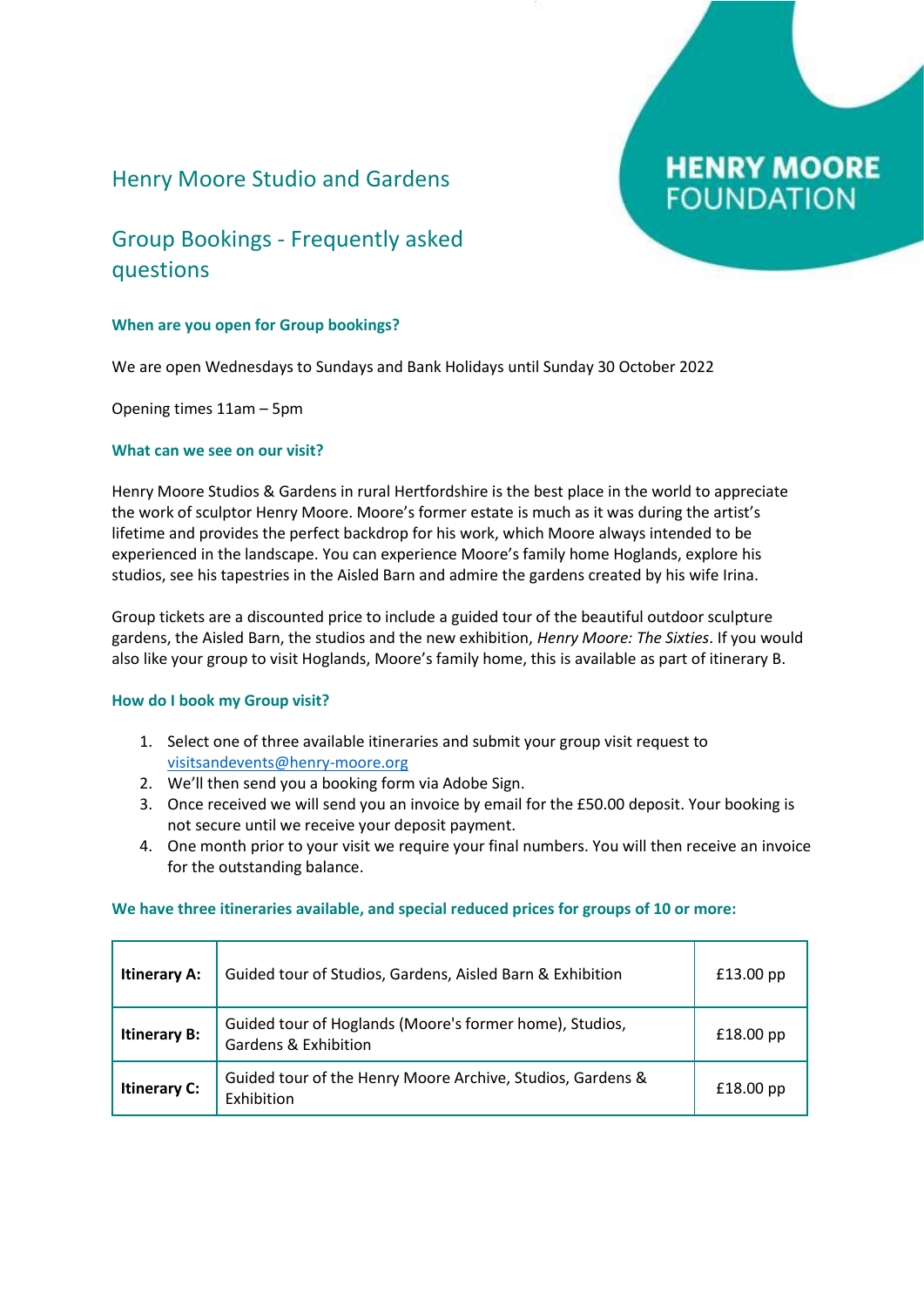### Henry Moore Studio and Gardens

# **HENRY MOORE FOUNDATION**

## Group Bookings - Frequently asked questions

### **When are you open for Group bookings?**

We are open Wednesdays to Sundays and Bank Holidays until Sunday 30 October 2022

Opening times 11am – 5pm

### **What can we see on our visit?**

Henry Moore Studios & Gardens in rural Hertfordshire is the best place in the world to appreciate the work of sculptor Henry Moore. Moore's former estate is much as it was during the artist's lifetime and provides the perfect backdrop for his work, which Moore always intended to be experienced in the landscape. You can experience Moore's family home Hoglands, explore his studios, see his tapestries in the Aisled Barn and admire the gardens created by his wife Irina.

Group tickets are a discounted price to include a guided tour of the beautiful outdoor sculpture gardens, the Aisled Barn, the studios and the new exhibition, *Henry Moore: The Sixties*. If you would also like your group to visit Hoglands, Moore's family home, this is available as part of itinerary B.

### **How do I book my Group visit?**

- 1. Select one of three available itineraries and submit your group visit request to [visitsandevents@henry-moore.org](mailto:visitsandevents@henry-moore.org)
- 2. We'll then send you a booking form via Adobe Sign.
- 3. Once received we will send you an invoice by email for the £50.00 deposit. Your booking is not secure until we receive your deposit payment.
- 4. One month prior to your visit we require your final numbers. You will then receive an invoice for the outstanding balance.

### **We have three itineraries available, and special reduced prices for groups of 10 or more:**

| <b>Itinerary A:</b> | Guided tour of Studios, Gardens, Aisled Barn & Exhibition                                  | £13.00 pp   |
|---------------------|--------------------------------------------------------------------------------------------|-------------|
| <b>Itinerary B:</b> | Guided tour of Hoglands (Moore's former home), Studios,<br><b>Gardens &amp; Exhibition</b> | $£18.00$ pp |
| <b>Itinerary C:</b> | Guided tour of the Henry Moore Archive, Studios, Gardens &<br>Exhibition                   | $£18.00$ pp |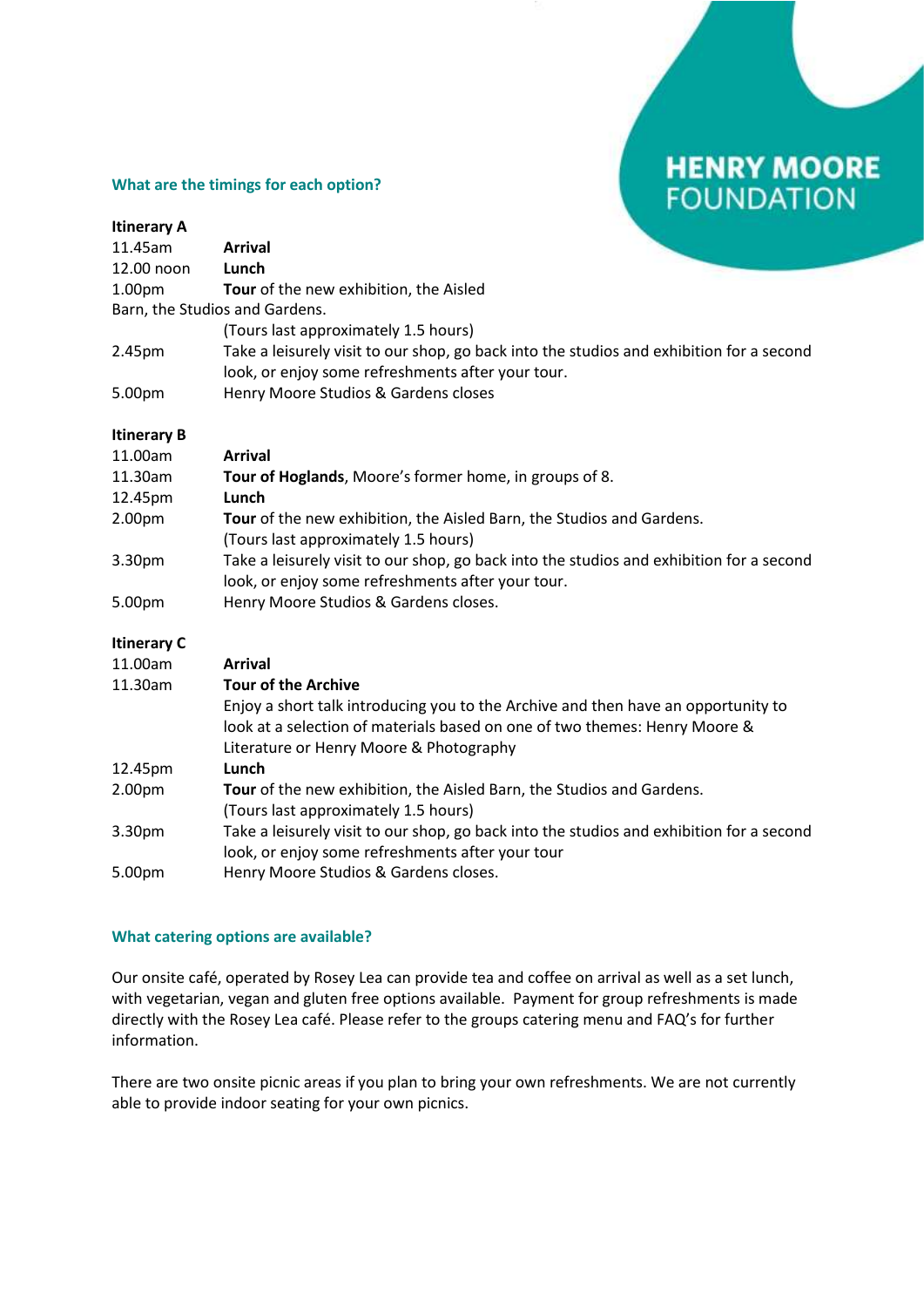## **HENRY MOORE FOUNDATION**

### **What are the timings for each option?**

| <b>Itinerary A</b>             |                                                                                                                                                                                                            |
|--------------------------------|------------------------------------------------------------------------------------------------------------------------------------------------------------------------------------------------------------|
| 11.45am                        | <b>Arrival</b>                                                                                                                                                                                             |
| 12.00 noon                     | Lunch                                                                                                                                                                                                      |
| 1.00pm                         | Tour of the new exhibition, the Aisled                                                                                                                                                                     |
| Barn, the Studios and Gardens. |                                                                                                                                                                                                            |
|                                | (Tours last approximately 1.5 hours)                                                                                                                                                                       |
| 2.45pm                         | Take a leisurely visit to our shop, go back into the studios and exhibition for a second<br>look, or enjoy some refreshments after your tour.                                                              |
| 5.00pm                         | Henry Moore Studios & Gardens closes                                                                                                                                                                       |
| <b>Itinerary B</b>             |                                                                                                                                                                                                            |
| 11.00am                        | <b>Arrival</b>                                                                                                                                                                                             |
| 11.30am                        | Tour of Hoglands, Moore's former home, in groups of 8.                                                                                                                                                     |
| 12.45pm                        | Lunch                                                                                                                                                                                                      |
| 2.00pm                         | Tour of the new exhibition, the Aisled Barn, the Studios and Gardens.                                                                                                                                      |
|                                | (Tours last approximately 1.5 hours)                                                                                                                                                                       |
| 3.30pm                         | Take a leisurely visit to our shop, go back into the studios and exhibition for a second                                                                                                                   |
|                                | look, or enjoy some refreshments after your tour.                                                                                                                                                          |
| 5.00pm                         | Henry Moore Studios & Gardens closes.                                                                                                                                                                      |
| <b>Itinerary C</b>             |                                                                                                                                                                                                            |
| 11.00am                        | <b>Arrival</b>                                                                                                                                                                                             |
| 11.30am                        | <b>Tour of the Archive</b>                                                                                                                                                                                 |
|                                | Enjoy a short talk introducing you to the Archive and then have an opportunity to<br>look at a selection of materials based on one of two themes: Henry Moore &<br>Literature or Henry Moore & Photography |
| 12.45pm                        | Lunch                                                                                                                                                                                                      |
| 2.00pm                         | Tour of the new exhibition, the Aisled Barn, the Studios and Gardens.<br>(Tours last approximately 1.5 hours)                                                                                              |
| 3.30pm                         | Take a leisurely visit to our shop, go back into the studios and exhibition for a second<br>look, or enjoy some refreshments after your tour                                                               |
| 5.00pm                         | Henry Moore Studios & Gardens closes.                                                                                                                                                                      |

### **What catering options are available?**

Our onsite café, operated by Rosey Lea can provide tea and coffee on arrival as well as a set lunch, with vegetarian, vegan and gluten free options available. Payment for group refreshments is made directly with the Rosey Lea café. Please refer to the groups catering menu and FAQ's for further information.

There are two onsite picnic areas if you plan to bring your own refreshments. We are not currently able to provide indoor seating for your own picnics.